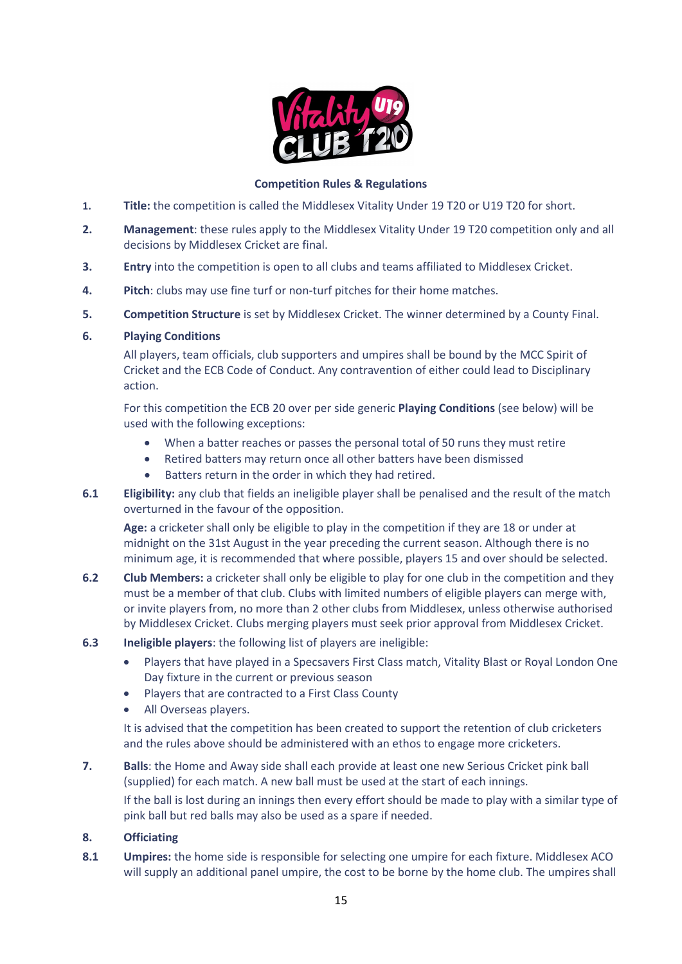

# **Competition Rules & Regulations**

- **1. Title:** the competition is called the Middlesex Vitality Under 19 T20 or U19 T20 for short.
- **2. Management**: these rules apply to the Middlesex Vitality Under 19 T20 competition only and all decisions by Middlesex Cricket are final.
- **3. Entry** into the competition is open to all clubs and teams affiliated to Middlesex Cricket.
- **4. Pitch**: clubs may use fine turf or non-turf pitches for their home matches.
- **5. Competition Structure** is set by Middlesex Cricket. The winner determined by a County Final.

# **6. Playing Conditions**

All players, team officials, club supporters and umpires shall be bound by the MCC Spirit of Cricket and the ECB Code of Conduct. Any contravention of either could lead to Disciplinary action.

For this competition the ECB 20 over per side generic **Playing Conditions** (see below) will be used with the following exceptions:

- When a batter reaches or passes the personal total of 50 runs they must retire
- Retired batters may return once all other batters have been dismissed
- Batters return in the order in which they had retired.
- **6.1 Eligibility:** any club that fields an ineligible player shall be penalised and the result of the match overturned in the favour of the opposition.

**Age:** a cricketer shall only be eligible to play in the competition if they are 18 or under at midnight on the 31st August in the year preceding the current season. Although there is no minimum age, it is recommended that where possible, players 15 and over should be selected.

- **6.2 Club Members:** a cricketer shall only be eligible to play for one club in the competition and they must be a member of that club. Clubs with limited numbers of eligible players can merge with, or invite players from, no more than 2 other clubs from Middlesex, unless otherwise authorised by Middlesex Cricket. Clubs merging players must seek prior approval from Middlesex Cricket.
- **6.3 Ineligible players**: the following list of players are ineligible:
	- Players that have played in a Specsavers First Class match, Vitality Blast or Royal London One Day fixture in the current or previous season
	- Players that are contracted to a First Class County
	- All Overseas players.

It is advised that the competition has been created to support the retention of club cricketers and the rules above should be administered with an ethos to engage more cricketers.

**7. Balls**: the Home and Away side shall each provide at least one new Serious Cricket pink ball (supplied) for each match. A new ball must be used at the start of each innings.

If the ball is lost during an innings then every effort should be made to play with a similar type of pink ball but red balls may also be used as a spare if needed.

# **8. Officiating**

**8.1 Umpires:** the home side is responsible for selecting one umpire for each fixture. Middlesex ACO will supply an additional panel umpire, the cost to be borne by the home club. The umpires shall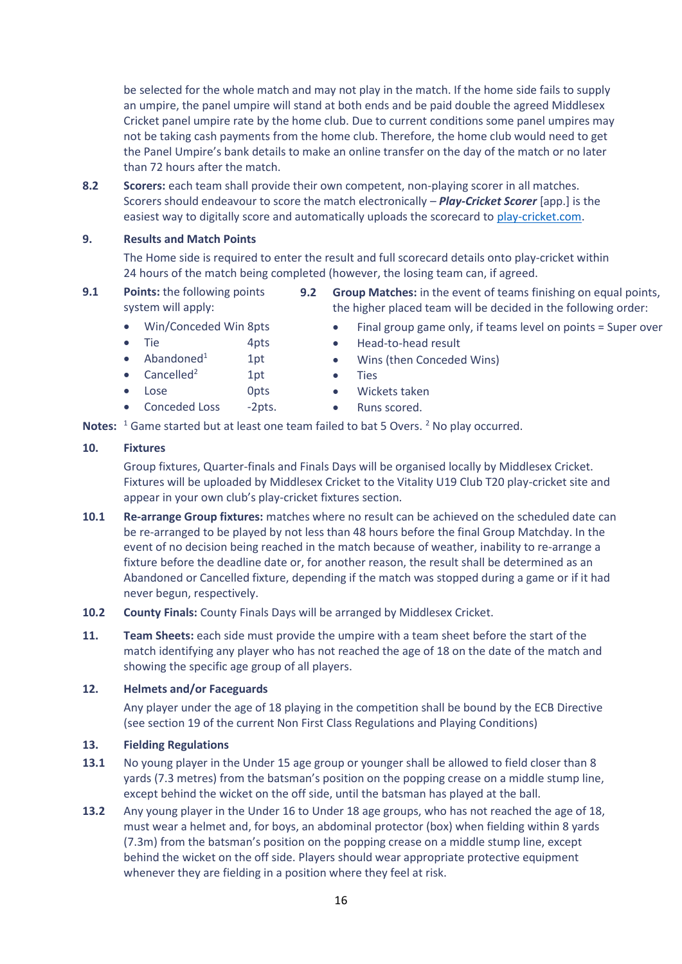be selected for the whole match and may not play in the match. If the home side fails to supply an umpire, the panel umpire will stand at both ends and be paid double the agreed Middlesex Cricket panel umpire rate by the home club. Due to current conditions some panel umpires may not be taking cash payments from the home club. Therefore, the home club would need to get the Panel Umpire's bank details to make an online transfer on the day of the match or no later than 72 hours after the match.

**8.2 Scorers:** each team shall provide their own competent, non-playing scorer in all matches. Scorers should endeavour to score the match electronically – *Play-Cricket Scorer* [app.] is the easiest way to digitally score and automatically uploads the scorecard to [play-cricket.com.](http://www.play-cricket.com/)

### **9. Results and Match Points**

The Home side is required to enter the result and full scorecard details onto play-cricket within 24 hours of the match being completed (however, the losing team can, if agreed.

- **9.1 Points:** the following points system will apply:
	- Win/Conceded Win 8pts
	- Tie 4pts
	- Abandoned $1$  1pt
	- Cancelled<sup>2</sup> 1pt
	- Lose Opts
	- Conceded Loss -2pts.
- **9.2 Group Matches:** in the event of teams finishing on equal points, the higher placed team will be decided in the following order:
	- Final group game only, if teams level on points = Super over
	- Wins (then Conceded Wins)
	- **Ties**
	- Wickets taken
	- Runs scored.

Notes: <sup>1</sup> Game started but at least one team failed to bat 5 Overs. <sup>2</sup> No play occurred.

## **10. Fixtures**

Group fixtures, Quarter-finals and Finals Days will be organised locally by Middlesex Cricket. Fixtures will be uploaded by Middlesex Cricket to the Vitality U19 Club T20 play-cricket site and appear in your own club's play-cricket fixtures section.

- **10.1 Re-arrange Group fixtures:** matches where no result can be achieved on the scheduled date can be re-arranged to be played by not less than 48 hours before the final Group Matchday. In the event of no decision being reached in the match because of weather, inability to re-arrange a fixture before the deadline date or, for another reason, the result shall be determined as an Abandoned or Cancelled fixture, depending if the match was stopped during a game or if it had never begun, respectively.
- **10.2 County Finals:** County Finals Days will be arranged by Middlesex Cricket.
- **11. Team Sheets:** each side must provide the umpire with a team sheet before the start of the match identifying any player who has not reached the age of 18 on the date of the match and showing the specific age group of all players.

#### **12. Helmets and/or Faceguards**

Any player under the age of 18 playing in the competition shall be bound by the ECB Directive (see section 19 of the current Non First Class Regulations and Playing Conditions)

#### **13. Fielding Regulations**

- **13.1** No young player in the Under 15 age group or younger shall be allowed to field closer than 8 yards (7.3 metres) from the batsman's position on the popping crease on a middle stump line, except behind the wicket on the off side, until the batsman has played at the ball.
- **13.2** Any young player in the Under 16 to Under 18 age groups, who has not reached the age of 18, must wear a helmet and, for boys, an abdominal protector (box) when fielding within 8 yards (7.3m) from the batsman's position on the popping crease on a middle stump line, except behind the wicket on the off side. Players should wear appropriate protective equipment whenever they are fielding in a position where they feel at risk.
- 
- 
- 
- Head-to-head result
-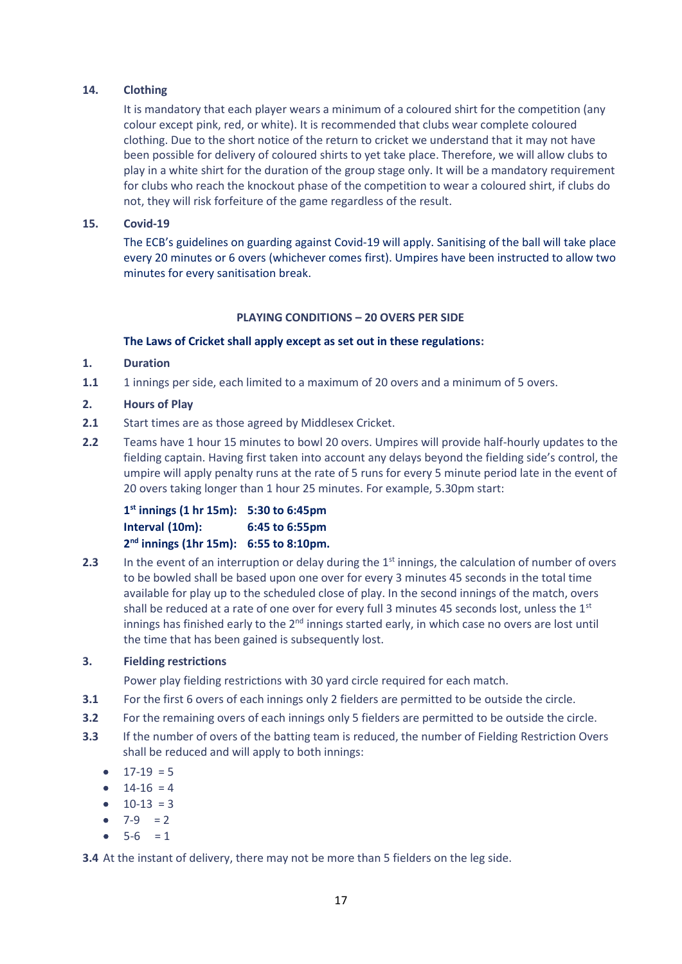## **14. Clothing**

It is mandatory that each player wears a minimum of a coloured shirt for the competition (any colour except pink, red, or white). It is recommended that clubs wear complete coloured clothing. Due to the short notice of the return to cricket we understand that it may not have been possible for delivery of coloured shirts to yet take place. Therefore, we will allow clubs to play in a white shirt for the duration of the group stage only. It will be a mandatory requirement for clubs who reach the knockout phase of the competition to wear a coloured shirt, if clubs do not, they will risk forfeiture of the game regardless of the result.

## **15. Covid-19**

The ECB's guidelines on guarding against Covid-19 will apply. Sanitising of the ball will take place every 20 minutes or 6 overs (whichever comes first). Umpires have been instructed to allow two minutes for every sanitisation break.

#### **PLAYING CONDITIONS – 20 OVERS PER SIDE**

#### **The Laws of Cricket shall apply except as set out in these regulations:**

# **1. Duration**

**1.1** 1 innings per side, each limited to a maximum of 20 overs and a minimum of 5 overs.

# **2. Hours of Play**

- **2.1** Start times are as those agreed by Middlesex Cricket.
- **2.2** Teams have 1 hour 15 minutes to bowl 20 overs. Umpires will provide half-hourly updates to the fielding captain. Having first taken into account any delays beyond the fielding side's control, the umpire will apply penalty runs at the rate of 5 runs for every 5 minute period late in the event of 20 overs taking longer than 1 hour 25 minutes. For example, 5.30pm start:

| $1^{st}$ innings (1 hr 15m): 5:30 to 6:45pm        |                |
|----------------------------------------------------|----------------|
| Interval (10m):                                    | 6:45 to 6:55pm |
| 2 <sup>nd</sup> innings (1hr 15m): 6:55 to 8:10pm. |                |

**2.3** In the event of an interruption or delay during the 1<sup>st</sup> innings, the calculation of number of overs to be bowled shall be based upon one over for every 3 minutes 45 seconds in the total time available for play up to the scheduled close of play. In the second innings of the match, overs shall be reduced at a rate of one over for every full 3 minutes 45 seconds lost, unless the  $1<sup>st</sup>$ innings has finished early to the 2<sup>nd</sup> innings started early, in which case no overs are lost until the time that has been gained is subsequently lost.

## **3. Fielding restrictions**

Power play fielding restrictions with 30 yard circle required for each match.

- **3.1** For the first 6 overs of each innings only 2 fielders are permitted to be outside the circle.
- **3.2** For the remaining overs of each innings only 5 fielders are permitted to be outside the circle.
- **3.3** If the number of overs of the batting team is reduced, the number of Fielding Restriction Overs shall be reduced and will apply to both innings:
	- $17-19 = 5$
	- $14-16 = 4$
	- $10-13 = 3$
	- $7-9 = 2$
	- $5-6 = 1$

**3.4** At the instant of delivery, there may not be more than 5 fielders on the leg side.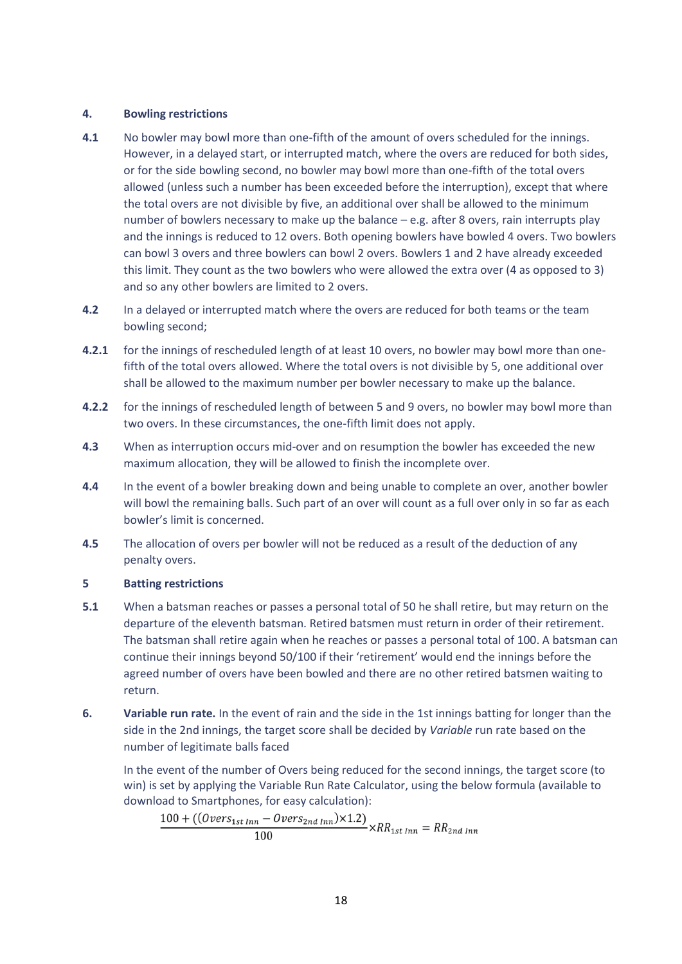## **4. Bowling restrictions**

- **4.1** No bowler may bowl more than one-fifth of the amount of overs scheduled for the innings. However, in a delayed start, or interrupted match, where the overs are reduced for both sides, or for the side bowling second, no bowler may bowl more than one-fifth of the total overs allowed (unless such a number has been exceeded before the interruption), except that where the total overs are not divisible by five, an additional over shall be allowed to the minimum number of bowlers necessary to make up the balance – e.g. after 8 overs, rain interrupts play and the innings is reduced to 12 overs. Both opening bowlers have bowled 4 overs. Two bowlers can bowl 3 overs and three bowlers can bowl 2 overs. Bowlers 1 and 2 have already exceeded this limit. They count as the two bowlers who were allowed the extra over (4 as opposed to 3) and so any other bowlers are limited to 2 overs.
- **4.2** In a delayed or interrupted match where the overs are reduced for both teams or the team bowling second;
- **4.2.1** for the innings of rescheduled length of at least 10 overs, no bowler may bowl more than onefifth of the total overs allowed. Where the total overs is not divisible by 5, one additional over shall be allowed to the maximum number per bowler necessary to make up the balance.
- **4.2.2** for the innings of rescheduled length of between 5 and 9 overs, no bowler may bowl more than two overs. In these circumstances, the one-fifth limit does not apply.
- **4.3** When as interruption occurs mid-over and on resumption the bowler has exceeded the new maximum allocation, they will be allowed to finish the incomplete over.
- **4.4** In the event of a bowler breaking down and being unable to complete an over, another bowler will bowl the remaining balls. Such part of an over will count as a full over only in so far as each bowler's limit is concerned.
- **4.5** The allocation of overs per bowler will not be reduced as a result of the deduction of any penalty overs.

## **5 Batting restrictions**

- **5.1** When a batsman reaches or passes a personal total of 50 he shall retire, but may return on the departure of the eleventh batsman. Retired batsmen must return in order of their retirement. The batsman shall retire again when he reaches or passes a personal total of 100. A batsman can continue their innings beyond 50/100 if their 'retirement' would end the innings before the agreed number of overs have been bowled and there are no other retired batsmen waiting to return.
- **6. Variable run rate.** In the event of rain and the side in the 1st innings batting for longer than the side in the 2nd innings, the target score shall be decided by *Variable* run rate based on the number of legitimate balls faced

In the event of the number of Overs being reduced for the second innings, the target score (to win) is set by applying the Variable Run Rate Calculator, using the below formula (available to download to Smartphones, for easy calculation):

 $\frac{100 + ((\text{Overs}_{1st\,Inn} - \text{Overs}_{2nd\,Inn}) \times 1.2)}{100} \times RR_{1st\,Inn} = RR_{2nd\,Inn}$